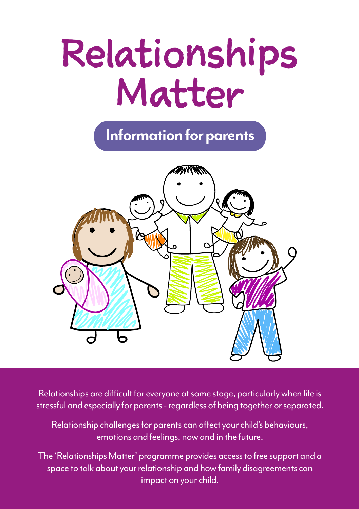# Relationships Matter

**Information for parents**



Relationships are difficult for everyone at some stage, particularly when life is stressful and especially for parents - regardless of being together or separated.

Relationship challenges for parents can affect your child's behaviours, emotions and feelings, now and in the future.

The 'Relationships Matter' programme provides access to free support and a space to talk about your relationship and how family disagreements can impact on your child.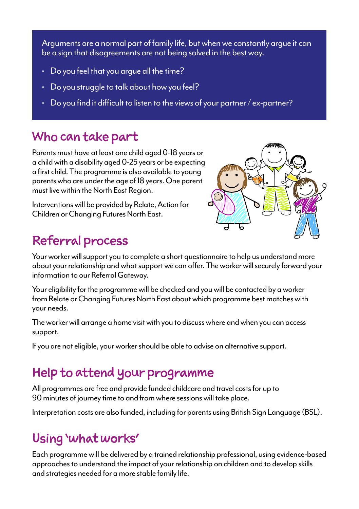Arguments are a normal part of family life, but when we constantly argue it can be a sign that disagreements are not being solved in the best way.

- Do you feel that you argue all the time?
- Do you struggle to talk about how you feel?
- Do you find it difficult to listen to the views of your partner / ex-partner?

#### Who can take part

Parents must have at least one child aged 0-18 years or a child with a disability aged 0-25 years or be expecting a first child. The programme is also available to young parents who are under the age of 18 years. One parent must live within the North East Region.

Interventions will be provided by Relate, Action for Children or Changing Futures North East.

## Referral process



Your worker will support you to complete a short questionnaire to help us understand more about your relationship and what support we can offer. The worker will securely forward your information to our Referral Gateway.

Your eligibility for the programme will be checked and you will be contacted by a worker from Relate or Changing Futures North East about which programme best matches with your needs.

The worker will arrange a home visit with you to discuss where and when you can access support.

If you are not eligible, your worker should be able to advise on alternative support.

#### Help to attend your programme

All programmes are free and provide funded childcare and travel costs for up to 90 minutes of journey time to and from where sessions will take place.

Interpretation costs are also funded, including for parents using British Sign Language (BSL).

### Using 'what works'

Each programme will be delivered by a trained relationship professional, using evidence-based approaches to understand the impact of your relationship on children and to develop skills and strategies needed for a more stable family life.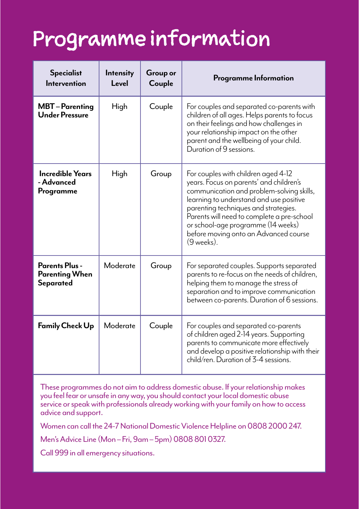# Programme information

| <b>Specialist</b><br>Intervention                    | <b>Intensity</b><br>Level | Group or<br>Couple | Programme Information                                                                                                                                                                                                                                                                                                                                     |
|------------------------------------------------------|---------------------------|--------------------|-----------------------------------------------------------------------------------------------------------------------------------------------------------------------------------------------------------------------------------------------------------------------------------------------------------------------------------------------------------|
| <b>MBT</b> – Parenting<br><b>Under Pressure</b>      | High                      | Couple             | For couples and separated co-parents with<br>children of all ages. Helps parents to focus<br>on their feelings and how challenges in<br>your relationship impact on the other<br>parent and the wellbeing of your child.<br>Duration of 9 sessions.                                                                                                       |
| <b>Incredible Years</b><br>- Advanced<br>Programme   | High                      | Group              | For couples with children aged 4-12<br>years. Focus on parents' and children's<br>communication and problem-solving skills,<br>learning to understand and use positive<br>parenting techniques and strategies.<br>Parents will need to complete a pre-school<br>or school-age programme (14 weeks)<br>before moving onto an Advanced course<br>(9 weeks). |
| Parents Plus -<br><b>Parenting When</b><br>Separated | Moderate                  | Group              | For separated couples. Supports separated<br>parents to re-focus on the needs of children,<br>helping them to manage the stress of<br>separation and to improve communication<br>between co-parents. Duration of 6 sessions.                                                                                                                              |
| <b>Family Check Up</b>                               | Moderate                  | Couple             | For couples and separated co-parents<br>of children aged 2-14 years. Supporting<br>parents to communicate more effectively<br>and develop a positive relationship with their<br>child/ren. Duration of 3-4 sessions.                                                                                                                                      |

These programmes do not aim to address domestic abuse. If your relationship makes you feel fear or unsafe in any way, you should contact your local domestic abuse service or speak with professionals already working with your family on how to access advice and support.

Women can call the 24-7 National Domestic Violence Helpline on 0808 2000 247.

Men's Advice Line (Mon – Fri, 9am – 5pm) 0808 801 0327.

Call 999 in all emergency situations.